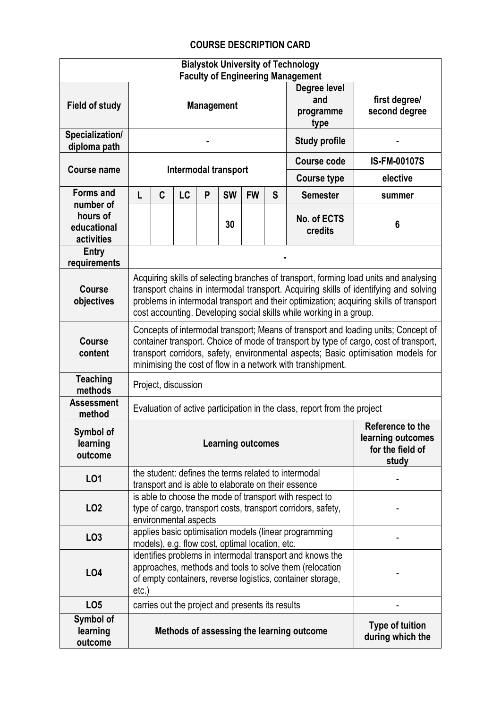## **COURSE DESCRIPTION CARD**

| <b>Bialystok University of Technology</b><br><b>Faculty of Engineering Management</b> |                                                                                                                                                                                                                                                                                                                                                 |                                                                                                          |                                                  |   |           |           |                                |                                                                                                             |                                            |
|---------------------------------------------------------------------------------------|-------------------------------------------------------------------------------------------------------------------------------------------------------------------------------------------------------------------------------------------------------------------------------------------------------------------------------------------------|----------------------------------------------------------------------------------------------------------|--------------------------------------------------|---|-----------|-----------|--------------------------------|-------------------------------------------------------------------------------------------------------------|--------------------------------------------|
| <b>Field of study</b>                                                                 | Degree level<br>and<br><b>Management</b><br>programme<br>type                                                                                                                                                                                                                                                                                   |                                                                                                          |                                                  |   |           |           | first degree/<br>second degree |                                                                                                             |                                            |
| Specialization/<br>diploma path                                                       | <b>Study profile</b>                                                                                                                                                                                                                                                                                                                            |                                                                                                          |                                                  |   |           |           |                                |                                                                                                             |                                            |
| <b>Course name</b>                                                                    | <b>Intermodal transport</b>                                                                                                                                                                                                                                                                                                                     |                                                                                                          |                                                  |   |           |           |                                | Course code                                                                                                 | <b>IS-FM-00107S</b>                        |
|                                                                                       |                                                                                                                                                                                                                                                                                                                                                 |                                                                                                          |                                                  |   |           |           |                                | <b>Course type</b>                                                                                          | elective                                   |
| <b>Forms and</b><br>number of                                                         | L                                                                                                                                                                                                                                                                                                                                               | C                                                                                                        | LC                                               | P | <b>SW</b> | <b>FW</b> | S                              | <b>Semester</b>                                                                                             | summer                                     |
| hours of<br>educational<br>activities                                                 |                                                                                                                                                                                                                                                                                                                                                 |                                                                                                          |                                                  |   | 30        |           |                                | No. of ECTS<br>credits                                                                                      | 6                                          |
| <b>Entry</b><br>requirements                                                          |                                                                                                                                                                                                                                                                                                                                                 |                                                                                                          |                                                  |   |           |           |                                |                                                                                                             |                                            |
| <b>Course</b><br>objectives                                                           | Acquiring skills of selecting branches of transport, forming load units and analysing<br>transport chains in intermodal transport. Acquiring skills of identifying and solving<br>problems in intermodal transport and their optimization; acquiring skills of transport<br>cost accounting. Developing social skills while working in a group. |                                                                                                          |                                                  |   |           |           |                                |                                                                                                             |                                            |
| <b>Course</b><br>content                                                              | Concepts of intermodal transport; Means of transport and loading units; Concept of<br>container transport. Choice of mode of transport by type of cargo, cost of transport,<br>transport corridors, safety, environmental aspects; Basic optimisation models for<br>minimising the cost of flow in a network with transhipment.                 |                                                                                                          |                                                  |   |           |           |                                |                                                                                                             |                                            |
| <b>Teaching</b><br>methods                                                            | Project, discussion                                                                                                                                                                                                                                                                                                                             |                                                                                                          |                                                  |   |           |           |                                |                                                                                                             |                                            |
| <b>Assessment</b><br>method                                                           | Evaluation of active participation in the class, report from the project                                                                                                                                                                                                                                                                        |                                                                                                          |                                                  |   |           |           |                                |                                                                                                             |                                            |
| Symbol of<br>learning<br>outcome                                                      | Reference to the<br>learning outcomes<br><b>Learning outcomes</b><br>for the field of<br>study                                                                                                                                                                                                                                                  |                                                                                                          |                                                  |   |           |           |                                |                                                                                                             |                                            |
| L01                                                                                   |                                                                                                                                                                                                                                                                                                                                                 |                                                                                                          |                                                  |   |           |           |                                | the student: defines the terms related to intermodal<br>transport and is able to elaborate on their essence |                                            |
| LO <sub>2</sub>                                                                       | is able to choose the mode of transport with respect to<br>type of cargo, transport costs, transport corridors, safety,<br>environmental aspects                                                                                                                                                                                                |                                                                                                          |                                                  |   |           |           |                                |                                                                                                             |                                            |
| LO <sub>3</sub>                                                                       |                                                                                                                                                                                                                                                                                                                                                 | applies basic optimisation models (linear programming<br>models), e.g. flow cost, optimal location, etc. |                                                  |   |           |           |                                |                                                                                                             |                                            |
| LO4                                                                                   | identifies problems in intermodal transport and knows the<br>approaches, methods and tools to solve them (relocation<br>of empty containers, reverse logistics, container storage,<br>$etc.$ )                                                                                                                                                  |                                                                                                          |                                                  |   |           |           |                                |                                                                                                             |                                            |
| LO <sub>5</sub>                                                                       |                                                                                                                                                                                                                                                                                                                                                 |                                                                                                          | carries out the project and presents its results |   |           |           |                                |                                                                                                             |                                            |
| Symbol of<br>learning<br>outcome                                                      |                                                                                                                                                                                                                                                                                                                                                 |                                                                                                          |                                                  |   |           |           |                                | Methods of assessing the learning outcome                                                                   | <b>Type of tuition</b><br>during which the |